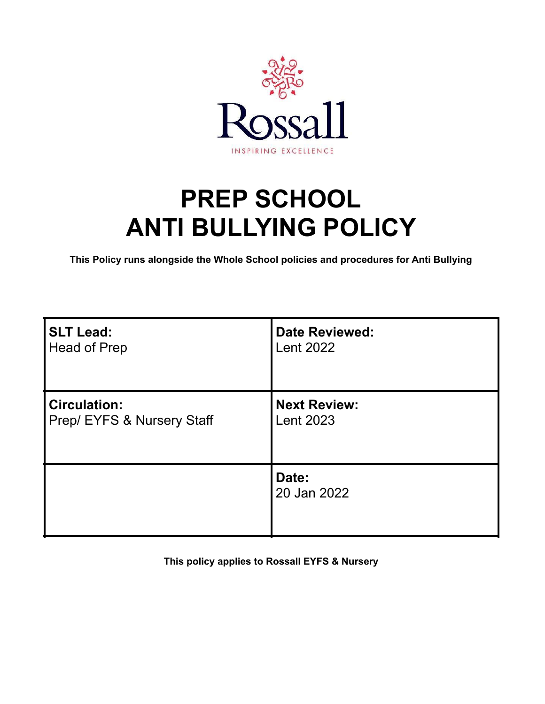

# **PREP SCHOOL ANTI BULLYING POLICY**

**This Policy runs alongside the Whole School policies and procedures for Anti Bullying**

| <b>SLT Lead:</b>           | <b>Date Reviewed:</b> |
|----------------------------|-----------------------|
| <b>Head of Prep</b>        | <b>Lent 2022</b>      |
| <b>Circulation:</b>        | <b>Next Review:</b>   |
| Prep/ EYFS & Nursery Staff | <b>Lent 2023</b>      |
|                            | Date:<br>20 Jan 2022  |

**This policy applies to Rossall EYFS & Nursery**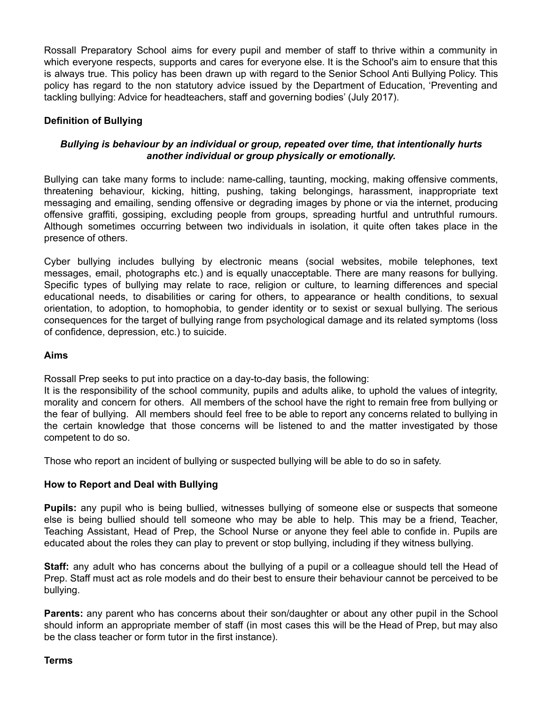Rossall Preparatory School aims for every pupil and member of staff to thrive within a community in which everyone respects, supports and cares for everyone else. It is the School's aim to ensure that this is always true. This policy has been drawn up with regard to the Senior School Anti Bullying Policy. This policy has regard to the non statutory advice issued by the Department of Education, 'Preventing and tackling bullying: Advice for headteachers, staff and governing bodies' (July 2017).

## **Definition of Bullying**

## *Bullying is behaviour by an individual or group, repeated over time, that intentionally hurts another individual or group physically or emotionally.*

Bullying can take many forms to include: name-calling, taunting, mocking, making offensive comments, threatening behaviour, kicking, hitting, pushing, taking belongings, harassment, inappropriate text messaging and emailing, sending offensive or degrading images by phone or via the internet, producing offensive graffiti, gossiping, excluding people from groups, spreading hurtful and untruthful rumours. Although sometimes occurring between two individuals in isolation, it quite often takes place in the presence of others.

Cyber bullying includes bullying by electronic means (social websites, mobile telephones, text messages, email, photographs etc.) and is equally unacceptable. There are many reasons for bullying. Specific types of bullying may relate to race, religion or culture, to learning differences and special educational needs, to disabilities or caring for others, to appearance or health conditions, to sexual orientation, to adoption, to homophobia, to gender identity or to sexist or sexual bullying. The serious consequences for the target of bullying range from psychological damage and its related symptoms (loss of confidence, depression, etc.) to suicide.

#### **Aims**

Rossall Prep seeks to put into practice on a day-to-day basis, the following:

It is the responsibility of the school community, pupils and adults alike, to uphold the values of integrity, morality and concern for others. All members of the school have the right to remain free from bullying or the fear of bullying. All members should feel free to be able to report any concerns related to bullying in the certain knowledge that those concerns will be listened to and the matter investigated by those competent to do so.

Those who report an incident of bullying or suspected bullying will be able to do so in safety.

## **How to Report and Deal with Bullying**

**Pupils:** any pupil who is being bullied, witnesses bullying of someone else or suspects that someone else is being bullied should tell someone who may be able to help. This may be a friend, Teacher, Teaching Assistant, Head of Prep, the School Nurse or anyone they feel able to confide in. Pupils are educated about the roles they can play to prevent or stop bullying, including if they witness bullying.

**Staff:** any adult who has concerns about the bullying of a pupil or a colleague should tell the Head of Prep. Staff must act as role models and do their best to ensure their behaviour cannot be perceived to be bullying.

**Parents:** any parent who has concerns about their son/daughter or about any other pupil in the School should inform an appropriate member of staff (in most cases this will be the Head of Prep, but may also be the class teacher or form tutor in the first instance).

#### **Terms**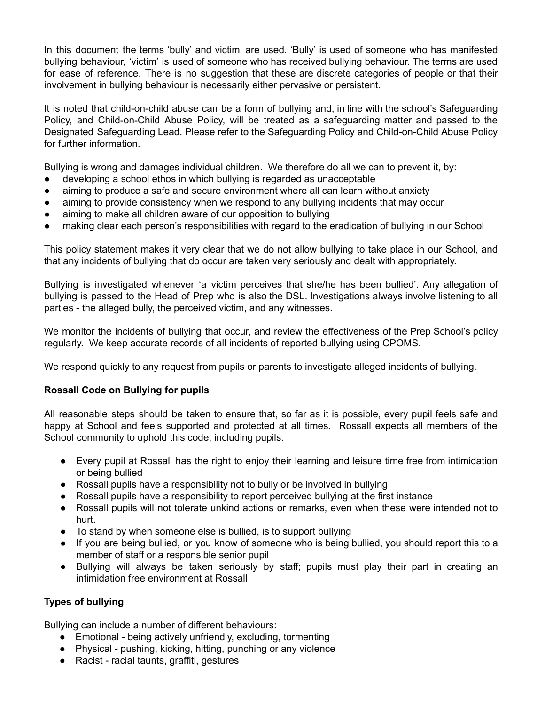In this document the terms 'bully' and victim' are used. 'Bully' is used of someone who has manifested bullying behaviour, 'victim' is used of someone who has received bullying behaviour. The terms are used for ease of reference. There is no suggestion that these are discrete categories of people or that their involvement in bullying behaviour is necessarily either pervasive or persistent.

It is noted that child-on-child abuse can be a form of bullying and, in line with the school's Safeguarding Policy, and Child-on-Child Abuse Policy, will be treated as a safeguarding matter and passed to the Designated Safeguarding Lead. Please refer to the Safeguarding Policy and Child-on-Child Abuse Policy for further information.

Bullying is wrong and damages individual children. We therefore do all we can to prevent it, by:

- developing a school ethos in which bullying is regarded as unacceptable
- aiming to produce a safe and secure environment where all can learn without anxiety
- aiming to provide consistency when we respond to any bullying incidents that may occur
- aiming to make all children aware of our opposition to bullying
- making clear each person's responsibilities with regard to the eradication of bullying in our School

This policy statement makes it very clear that we do not allow bullying to take place in our School, and that any incidents of bullying that do occur are taken very seriously and dealt with appropriately.

Bullying is investigated whenever 'a victim perceives that she/he has been bullied'. Any allegation of bullying is passed to the Head of Prep who is also the DSL. Investigations always involve listening to all parties - the alleged bully, the perceived victim, and any witnesses.

We monitor the incidents of bullying that occur, and review the effectiveness of the Prep School's policy regularly. We keep accurate records of all incidents of reported bullying using CPOMS.

We respond quickly to any request from pupils or parents to investigate alleged incidents of bullying.

## **Rossall Code on Bullying for pupils**

All reasonable steps should be taken to ensure that, so far as it is possible, every pupil feels safe and happy at School and feels supported and protected at all times. Rossall expects all members of the School community to uphold this code, including pupils.

- Every pupil at Rossall has the right to enjoy their learning and leisure time free from intimidation or being bullied
- Rossall pupils have a responsibility not to bully or be involved in bullying
- Rossall pupils have a responsibility to report perceived bullying at the first instance
- Rossall pupils will not tolerate unkind actions or remarks, even when these were intended not to hurt.
- To stand by when someone else is bullied, is to support bullying
- If you are being bullied, or you know of someone who is being bullied, you should report this to a member of staff or a responsible senior pupil
- Bullying will always be taken seriously by staff; pupils must play their part in creating an intimidation free environment at Rossall

## **Types of bullying**

Bullying can include a number of different behaviours:

- Emotional being actively unfriendly, excluding, tormenting
- Physical pushing, kicking, hitting, punching or any violence
- Racist racial taunts, graffiti, gestures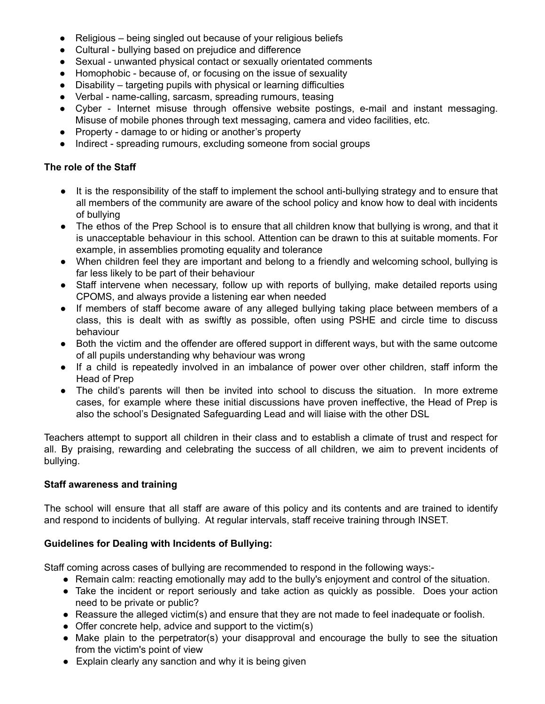- Religious being singled out because of your religious beliefs
- Cultural bullying based on prejudice and difference
- Sexual unwanted physical contact or sexually orientated comments
- Homophobic because of, or focusing on the issue of sexuality
- $Disability -$  targeting pupils with physical or learning difficulties
- Verbal name-calling, sarcasm, spreading rumours, teasing
- Cyber Internet misuse through offensive website postings, e-mail and instant messaging. Misuse of mobile phones through text messaging, camera and video facilities, etc.
- Property damage to or hiding or another's property
- Indirect spreading rumours, excluding someone from social groups

## **The role of the Staff**

- It is the responsibility of the staff to implement the school anti-bullying strategy and to ensure that all members of the community are aware of the school policy and know how to deal with incidents of bullying
- The ethos of the Prep School is to ensure that all children know that bullying is wrong, and that it is unacceptable behaviour in this school. Attention can be drawn to this at suitable moments. For example, in assemblies promoting equality and tolerance
- When children feel they are important and belong to a friendly and welcoming school, bullying is far less likely to be part of their behaviour
- Staff intervene when necessary, follow up with reports of bullying, make detailed reports using CPOMS, and always provide a listening ear when needed
- If members of staff become aware of any alleged bullying taking place between members of a class, this is dealt with as swiftly as possible, often using PSHE and circle time to discuss behaviour
- Both the victim and the offender are offered support in different ways, but with the same outcome of all pupils understanding why behaviour was wrong
- If a child is repeatedly involved in an imbalance of power over other children, staff inform the Head of Prep
- The child's parents will then be invited into school to discuss the situation. In more extreme cases, for example where these initial discussions have proven ineffective, the Head of Prep is also the school's Designated Safeguarding Lead and will liaise with the other DSL

Teachers attempt to support all children in their class and to establish a climate of trust and respect for all. By praising, rewarding and celebrating the success of all children, we aim to prevent incidents of bullying.

## **Staff awareness and training**

The school will ensure that all staff are aware of this policy and its contents and are trained to identify and respond to incidents of bullying. At regular intervals, staff receive training through INSET.

## **Guidelines for Dealing with Incidents of Bullying:**

Staff coming across cases of bullying are recommended to respond in the following ways:-

- Remain calm: reacting emotionally may add to the bully's enjoyment and control of the situation.
- Take the incident or report seriously and take action as quickly as possible. Does your action need to be private or public?
- Reassure the alleged victim(s) and ensure that they are not made to feel inadequate or foolish.
- Offer concrete help, advice and support to the victim(s)
- Make plain to the perpetrator(s) your disapproval and encourage the bully to see the situation from the victim's point of view
- Explain clearly any sanction and why it is being given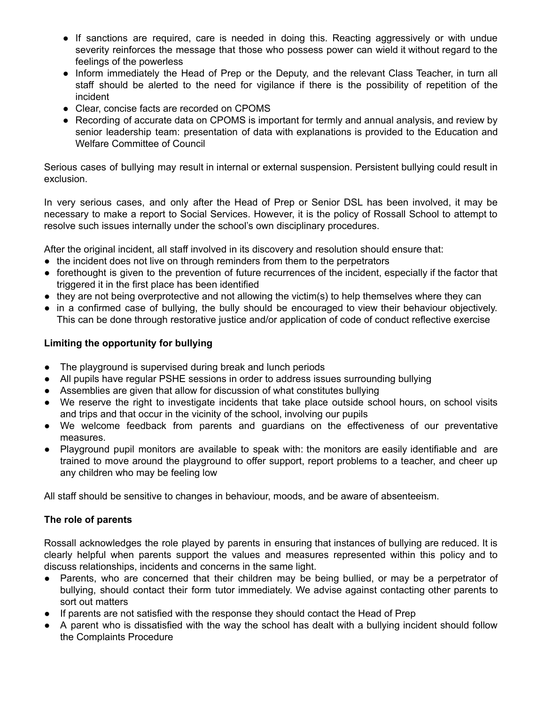- If sanctions are required, care is needed in doing this. Reacting aggressively or with undue severity reinforces the message that those who possess power can wield it without regard to the feelings of the powerless
- Inform immediately the Head of Prep or the Deputy, and the relevant Class Teacher, in turn all staff should be alerted to the need for vigilance if there is the possibility of repetition of the incident
- Clear, concise facts are recorded on CPOMS
- Recording of accurate data on CPOMS is important for termly and annual analysis, and review by senior leadership team: presentation of data with explanations is provided to the Education and Welfare Committee of Council

Serious cases of bullying may result in internal or external suspension. Persistent bullying could result in exclusion.

In very serious cases, and only after the Head of Prep or Senior DSL has been involved, it may be necessary to make a report to Social Services. However, it is the policy of Rossall School to attempt to resolve such issues internally under the school's own disciplinary procedures.

After the original incident, all staff involved in its discovery and resolution should ensure that:

- the incident does not live on through reminders from them to the perpetrators
- forethought is given to the prevention of future recurrences of the incident, especially if the factor that triggered it in the first place has been identified
- $\bullet$  they are not being overprotective and not allowing the victim(s) to help themselves where they can
- in a confirmed case of bullying, the bully should be encouraged to view their behaviour objectively. This can be done through restorative justice and/or application of code of conduct reflective exercise

## **Limiting the opportunity for bullying**

- The playground is supervised during break and lunch periods
- All pupils have regular PSHE sessions in order to address issues surrounding bullying
- Assemblies are given that allow for discussion of what constitutes bullying
- We reserve the right to investigate incidents that take place outside school hours, on school visits and trips and that occur in the vicinity of the school, involving our pupils
- We welcome feedback from parents and guardians on the effectiveness of our preventative measures.
- Playground pupil monitors are available to speak with: the monitors are easily identifiable and are trained to move around the playground to offer support, report problems to a teacher, and cheer up any children who may be feeling low

All staff should be sensitive to changes in behaviour, moods, and be aware of absenteeism.

## **The role of parents**

Rossall acknowledges the role played by parents in ensuring that instances of bullying are reduced. It is clearly helpful when parents support the values and measures represented within this policy and to discuss relationships, incidents and concerns in the same light.

- Parents, who are concerned that their children may be being bullied, or may be a perpetrator of bullying, should contact their form tutor immediately. We advise against contacting other parents to sort out matters
- If parents are not satisfied with the response they should contact the Head of Prep
- A parent who is dissatisfied with the way the school has dealt with a bullying incident should follow the Complaints Procedure